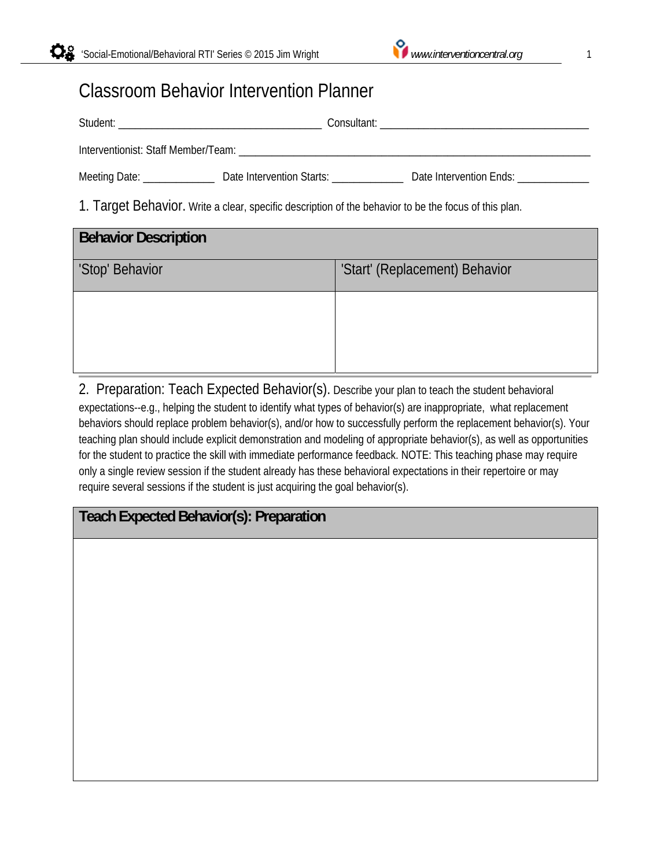# Classroom Behavior Intervention Planner

| Meeting Date: ___________________ Date Intervention Starts: ____________________                      | Date Intervention Ends: |  |
|-------------------------------------------------------------------------------------------------------|-------------------------|--|
| 1. Target Behavior. Write a clear, specific description of the behavior to be the focus of this plan. |                         |  |

| <b>Behavior Description</b> |                                |
|-----------------------------|--------------------------------|
| 'Stop' Behavior             | 'Start' (Replacement) Behavior |
|                             |                                |
|                             |                                |
|                             |                                |

2. Preparation: Teach Expected Behavior(s). Describe your plan to teach the student behavioral expectations--e.g., helping the student to identify what types of behavior(s) are inappropriate, what replacement behaviors should replace problem behavior(s), and/or how to successfully perform the replacement behavior(s). Your teaching plan should include explicit demonstration and modeling of appropriate behavior(s), as well as opportunities for the student to practice the skill with immediate performance feedback. NOTE: This teaching phase may require only a single review session if the student already has these behavioral expectations in their repertoire or may require several sessions if the student is just acquiring the goal behavior(s).

## **Teach Expected Behavior(s): Preparation**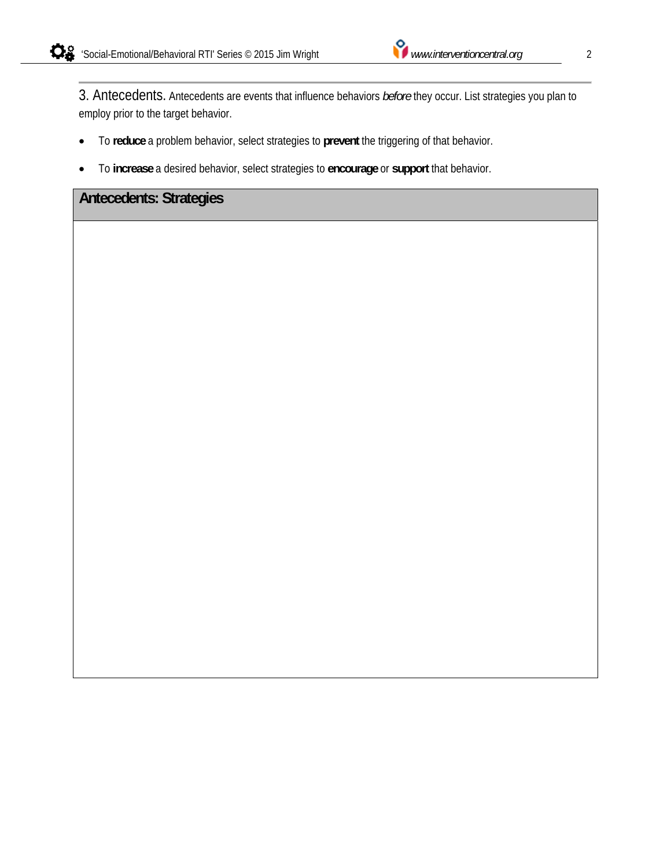3. Antecedents. Antecedents are events that influence behaviors *before* they occur. List strategies you plan to employ prior to the target behavior.

- To **reduce** a problem behavior, select strategies to **prevent** the triggering of that behavior.
- To **increase** a desired behavior, select strategies to **encourage** or **support** that behavior.

#### **Antecedents: Strategies**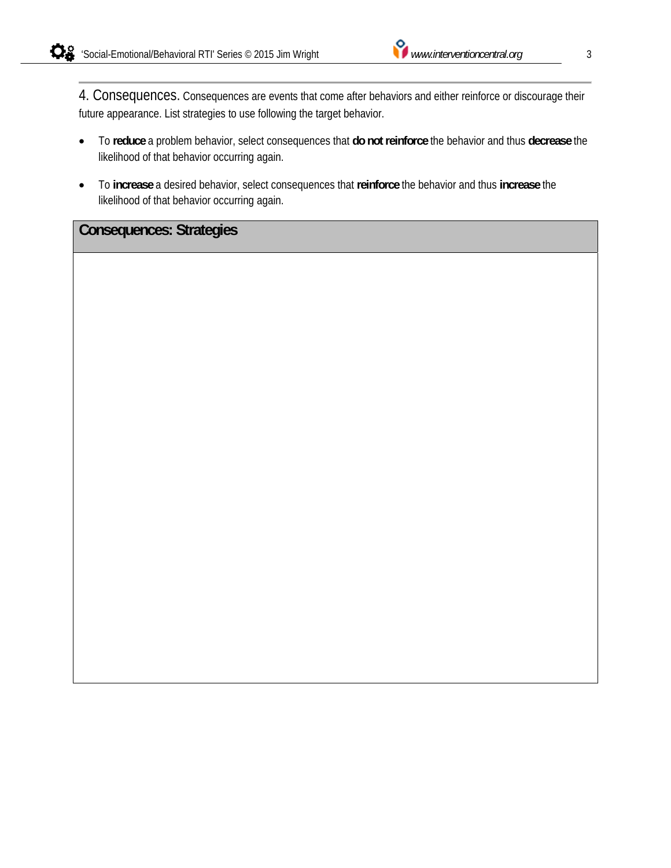4. Consequences. Consequences are events that come after behaviors and either reinforce or discourage their future appearance. List strategies to use following the target behavior.

- To **reduce** a problem behavior, select consequences that **do not reinforce** the behavior and thus **decrease** the likelihood of that behavior occurring again.
- To **increase** a desired behavior, select consequences that **reinforce** the behavior and thus **increase** the likelihood of that behavior occurring again.

### **Consequences: Strategies**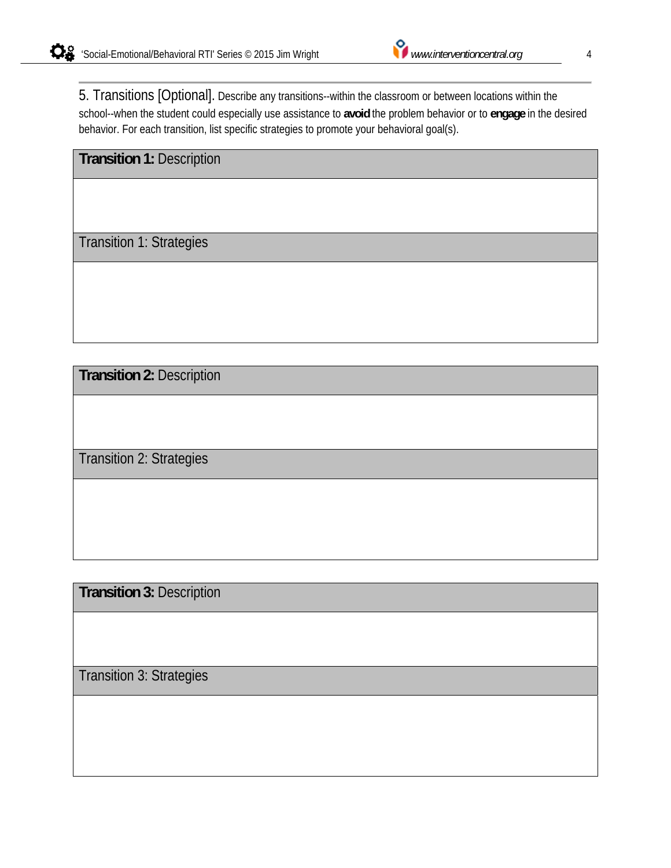5. Transitions [Optional]. Describe any transitions--within the classroom or between locations within the school--when the student could especially use assistance to **avoid** the problem behavior or to **engage** in the desired behavior. For each transition, list specific strategies to promote your behavioral goal(s).

**Transition 1:** Description

Transition 1: Strategies

**Transition 2:** Description

Transition 2: Strategies

**Transition 3:** Description

Transition 3: Strategies